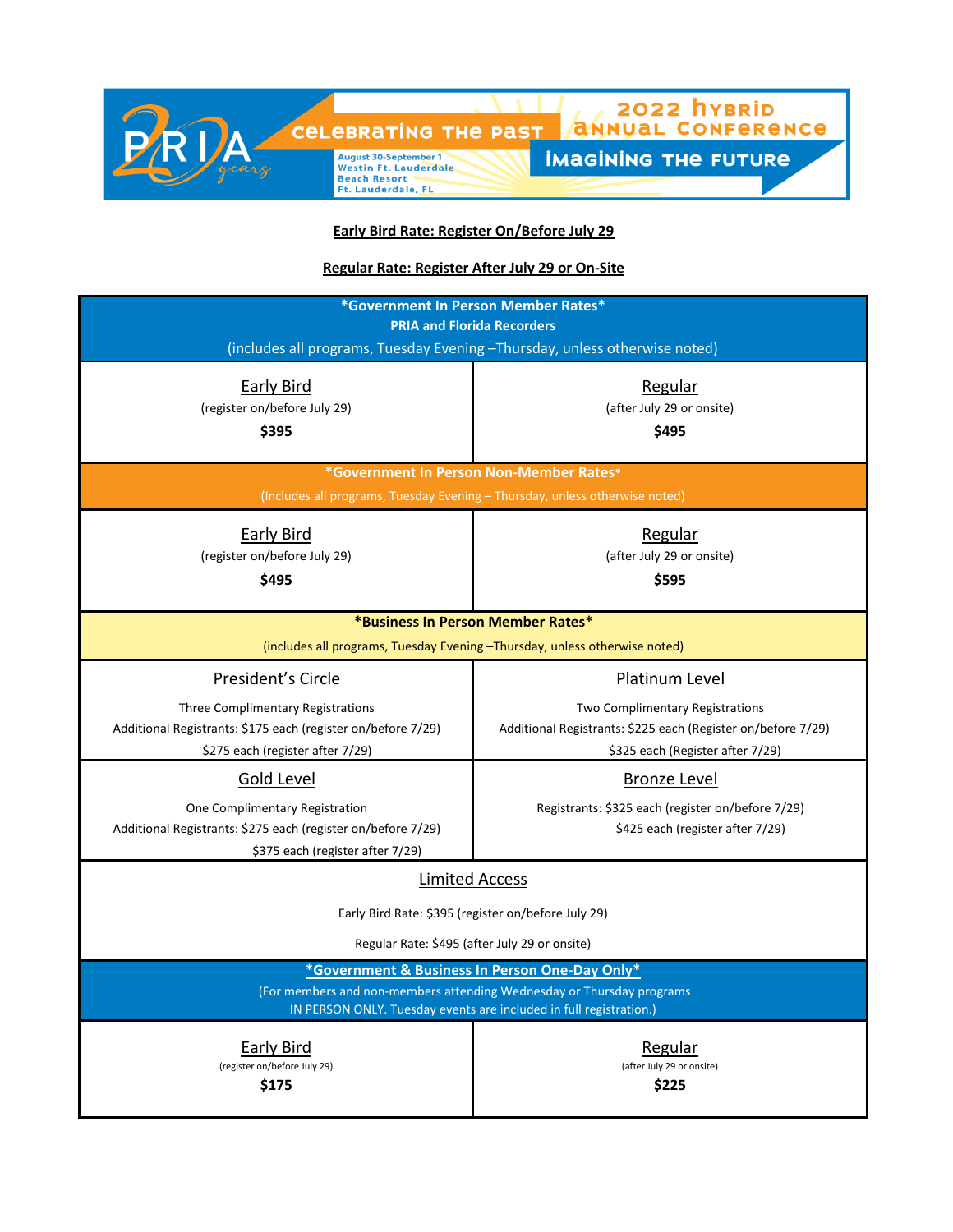

**Early Bird Rate: Register On/Before July 29**

**Regular Rate: Register After July 29 or On-Site**

| *Government In Person Member Rates*                                                                                                                                                           |                                                                                                                                                              |  |
|-----------------------------------------------------------------------------------------------------------------------------------------------------------------------------------------------|--------------------------------------------------------------------------------------------------------------------------------------------------------------|--|
| <b>PRIA and Florida Recorders</b><br>(includes all programs, Tuesday Evening - Thursday, unless otherwise noted)                                                                              |                                                                                                                                                              |  |
| Early Bird<br>(register on/before July 29)<br>\$395                                                                                                                                           | Regular<br>(after July 29 or onsite)<br>\$495                                                                                                                |  |
| *Government In Person Non-Member Rates*<br>(Includes all programs, Tuesday Evening - Thursday, unless otherwise noted)                                                                        |                                                                                                                                                              |  |
| <b>Early Bird</b><br>(register on/before July 29)<br>\$495                                                                                                                                    | Regular<br>(after July 29 or onsite)<br>\$595                                                                                                                |  |
| *Business In Person Member Rates*<br>(includes all programs, Tuesday Evening -Thursday, unless otherwise noted)                                                                               |                                                                                                                                                              |  |
| President's Circle<br><b>Three Complimentary Registrations</b><br>Additional Registrants: \$175 each (register on/before 7/29)<br>\$275 each (register after 7/29)                            | <b>Platinum Level</b><br>Two Complimentary Registrations<br>Additional Registrants: \$225 each (Register on/before 7/29)<br>\$325 each (Register after 7/29) |  |
| Gold Level<br>One Complimentary Registration<br>Additional Registrants: \$275 each (register on/before 7/29)<br>\$375 each (register after 7/29)                                              | Bronze Level<br>Registrants: \$325 each (register on/before 7/29)<br>\$425 each (register after 7/29)                                                        |  |
| <b>Limited Access</b>                                                                                                                                                                         |                                                                                                                                                              |  |
| Early Bird Rate: \$395 (register on/before July 29)                                                                                                                                           |                                                                                                                                                              |  |
| Regular Rate: \$495 (after July 29 or onsite)                                                                                                                                                 |                                                                                                                                                              |  |
| *Government & Business In Person One-Day Only*<br>(For members and non-members attending Wednesday or Thursday programs<br>IN PERSON ONLY. Tuesday events are included in full registration.) |                                                                                                                                                              |  |
| <b>Early Bird</b><br>(register on/before July 29)<br>\$175                                                                                                                                    | Regular<br>(after July 29 or onsite)<br>\$225                                                                                                                |  |